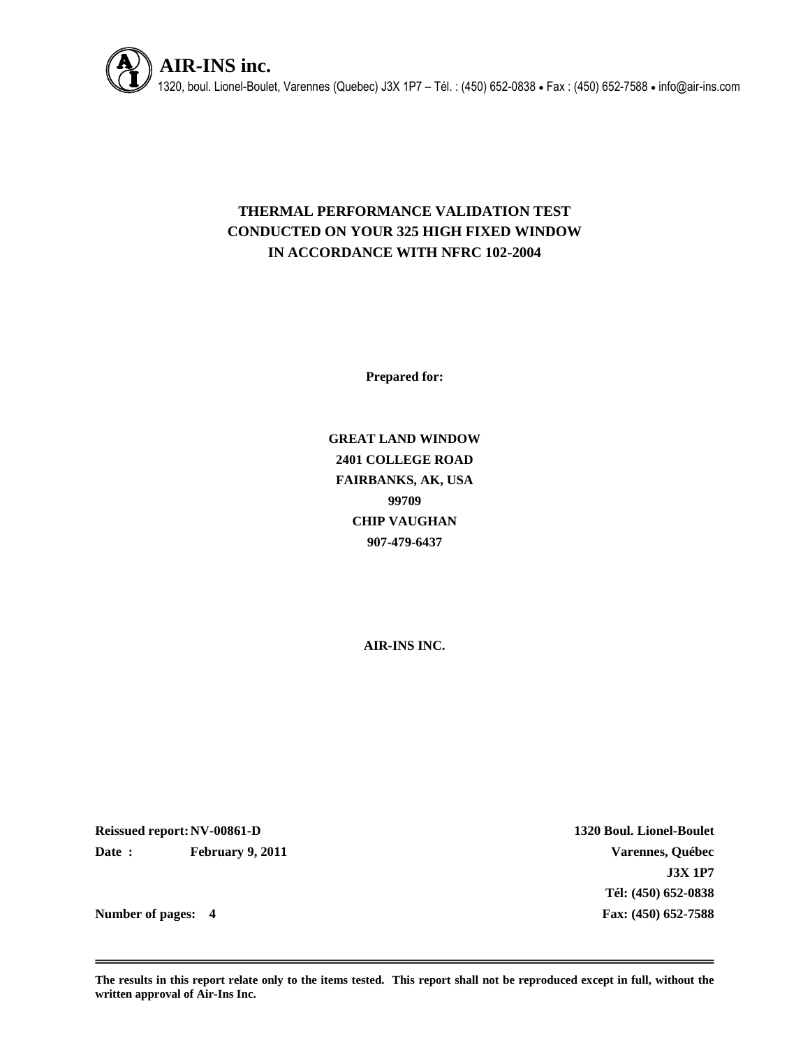

# **THERMAL PERFORMANCE VALIDATION TEST CONDUCTED ON YOUR 325 HIGH FIXED WINDOW IN ACCORDANCE WITH NFRC 102-2004**

**Prepared for:**

**GREAT LAND WINDOW 2401 COLLEGE ROAD FAIRBANKS, AK, USA 99709 CHIP VAUGHAN 907-479-6437**

**AIR-INS INC.**

**Reissued report:NV-00861-D 1320 Boul. Lionel-Boulet Date : February 9, 2011 Varennes, Québec**

**J3X 1P7 Tél: (450) 652-0838 Number of pages: 4 Fax: (450) 652-7588**

**The results in this report relate only to the items tested. This report shall not be reproduced except in full, without the written approval of Air-Ins Inc.**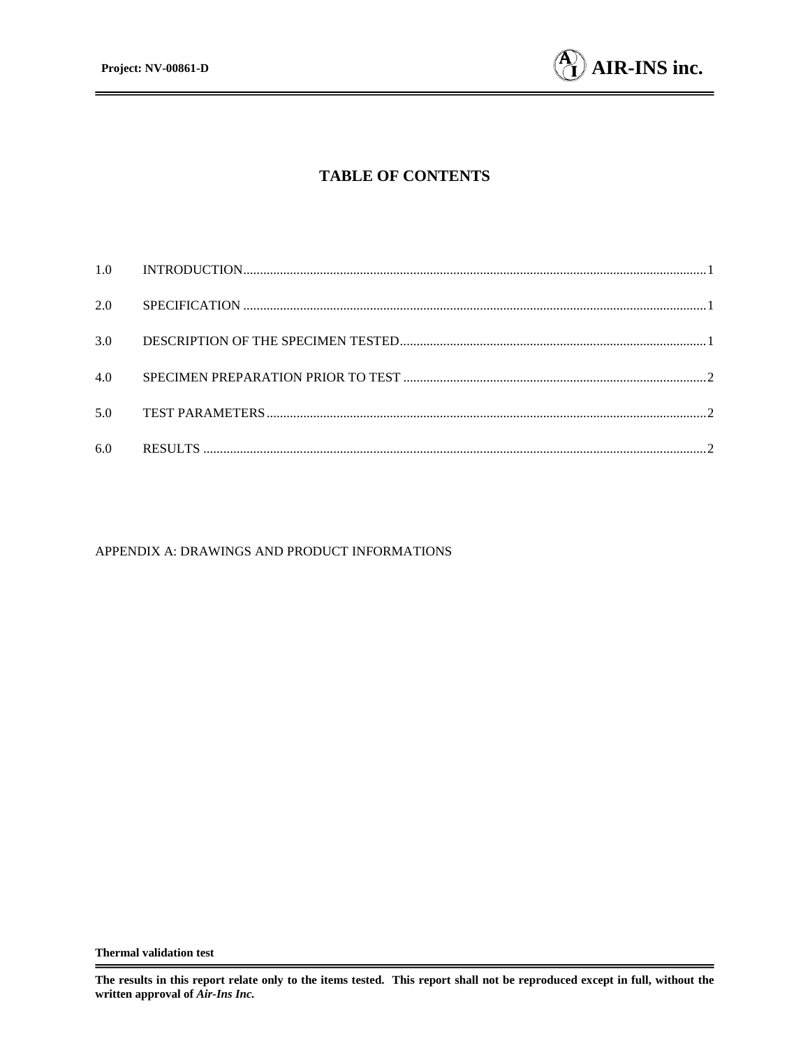

# **TABLE OF CONTENTS**

| 2.0 |  |
|-----|--|
| 3.0 |  |
| 4.0 |  |
| 5.0 |  |
| 6.0 |  |

#### APPENDIX A: DRAWINGS AND PRODUCT INFORMATIONS

**The results in this report relate only to the items tested. This report shall not be reproduced except in full, without the written approval of** *Air-Ins Inc.*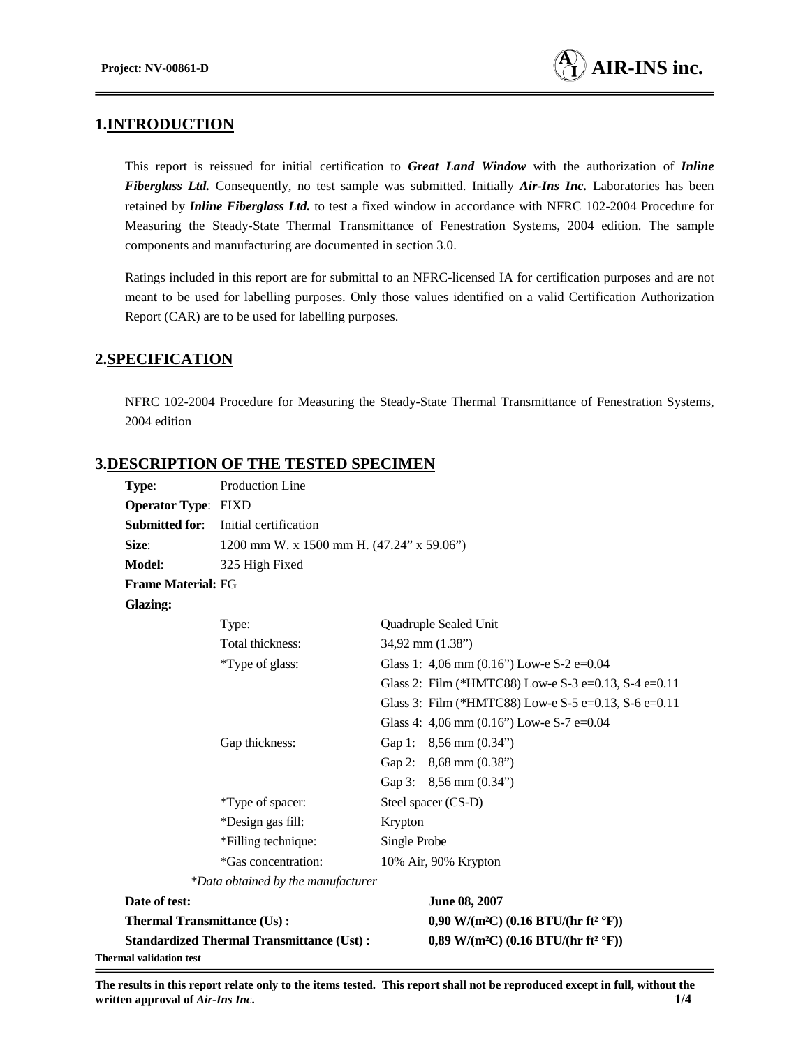# **1.INTRODUCTION**

This report is reissued for initial certification to *Great Land Window* with the authorization of *Inline Fiberglass Ltd.* Consequently, no test sample was submitted. Initially *Air-Ins Inc.* Laboratories has been retained by *Inline Fiberglass Ltd.* to test a fixed window in accordance with NFRC 102-2004 Procedure for Measuring the Steady-State Thermal Transmittance of Fenestration Systems, 2004 edition. The sample components and manufacturing are documented in section 3.0.

Ratings included in this report are for submittal to an NFRC-licensed IA for certification purposes and are not meant to be used for labelling purposes. Only those values identified on a valid Certification Authorization Report (CAR) are to be used for labelling purposes.

## **2.SPECIFICATION**

NFRC 102-2004 Procedure for Measuring the Steady-State Thermal Transmittance of Fenestration Systems, 2004 edition

# **3.DESCRIPTION OF THE TESTED SPECIMEN**

| Type:                              | Production Line                                  |              |                                                              |  |  |  |
|------------------------------------|--------------------------------------------------|--------------|--------------------------------------------------------------|--|--|--|
| <b>Operator Type: FIXD</b>         |                                                  |              |                                                              |  |  |  |
| <b>Submitted for:</b>              | Initial certification                            |              |                                                              |  |  |  |
| Size:                              | 1200 mm W. x 1500 mm H. (47.24" x 59.06")        |              |                                                              |  |  |  |
| Model:                             | 325 High Fixed                                   |              |                                                              |  |  |  |
| <b>Frame Material: FG</b>          |                                                  |              |                                                              |  |  |  |
| <b>Glazing:</b>                    |                                                  |              |                                                              |  |  |  |
|                                    | Type:                                            |              | Quadruple Sealed Unit                                        |  |  |  |
|                                    | Total thickness:                                 |              | 34,92 mm (1.38")                                             |  |  |  |
|                                    | *Type of glass:                                  |              | Glass 1: 4,06 mm $(0.16)$ Low-e S-2 e=0.04                   |  |  |  |
|                                    |                                                  |              | Glass 2: Film (*HMTC88) Low-e S-3 e=0.13, S-4 e=0.11         |  |  |  |
|                                    |                                                  |              | Glass 3: Film (*HMTC88) Low-e S-5 e=0.13, S-6 e=0.11         |  |  |  |
|                                    |                                                  |              | Glass 4: 4,06 mm $(0.16)$ Low-e S-7 e=0.04                   |  |  |  |
|                                    | Gap thickness:                                   |              | Gap 1: 8,56 mm (0.34")                                       |  |  |  |
|                                    |                                                  |              | Gap 2: $8,68$ mm $(0.38")$                                   |  |  |  |
|                                    |                                                  |              | Gap 3: $8,56$ mm $(0.34")$                                   |  |  |  |
|                                    | *Type of spacer:                                 |              | Steel spacer (CS-D)                                          |  |  |  |
|                                    | *Design gas fill:                                | Krypton      |                                                              |  |  |  |
| *Filling technique:                |                                                  | Single Probe |                                                              |  |  |  |
|                                    | *Gas concentration:                              |              | 10% Air, 90% Krypton                                         |  |  |  |
|                                    | *Data obtained by the manufacturer               |              |                                                              |  |  |  |
| Date of test:                      |                                                  |              | June 08, 2007                                                |  |  |  |
| <b>Thermal Transmittance (Us):</b> |                                                  |              | 0,90 W/(m <sup>2</sup> C) (0.16 BTU/(hr ft <sup>2</sup> °F)) |  |  |  |
|                                    | <b>Standardized Thermal Transmittance (Ust):</b> |              | 0,89 W/(m <sup>2</sup> C) (0.16 BTU/(hr ft <sup>2</sup> °F)) |  |  |  |
| Thermal validation test            |                                                  |              |                                                              |  |  |  |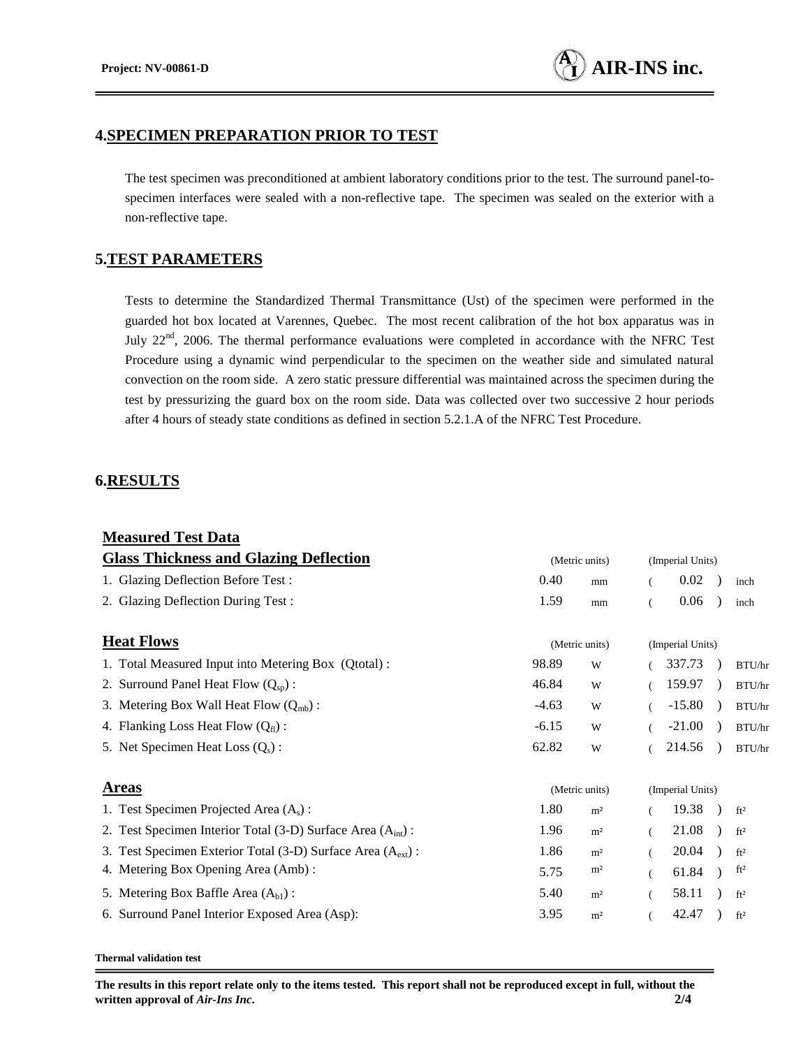## **4.SPECIMEN PREPARATION PRIOR TO TEST**

The test specimen was preconditioned at ambient laboratory conditions prior to the test. The surround panel-tospecimen interfaces were sealed with a non-reflective tape. The specimen was sealed on the exterior with a non-reflective tape.

### **5.TEST PARAMETERS**

Tests to determine the Standardized Thermal Transmittance (Ust) of the specimen were performed in the guarded hot box located at Varennes, Quebec. The most recent calibration of the hot box apparatus was in July 22<sup>nd</sup>, 2006. The thermal performance evaluations were completed in accordance with the NFRC Test Procedure using a dynamic wind perpendicular to the specimen on the weather side and simulated natural convection on the room side. A zero static pressure differential was maintained across the specimen during the test by pressurizing the guard box on the room side. Data was collected over two successive 2 hour periods after 4 hours of steady state conditions as defined in section 5.2.1.A of the NFRC Test Procedure.

### **6.RESULTS**

| <b>Measured Test Data</b>                                               |                |                |                  |          |  |                 |
|-------------------------------------------------------------------------|----------------|----------------|------------------|----------|--|-----------------|
| <b>Glass Thickness and Glazing Deflection</b>                           | (Metric units) |                | (Imperial Units) |          |  |                 |
| 1. Glazing Deflection Before Test:                                      | 0.40           | mm             | (                | 0.02     |  | inch            |
| 2. Glazing Deflection During Test:                                      | 1.59           | mm             |                  | 0.06     |  | inch            |
| <b>Heat Flows</b>                                                       | (Metric units) |                | (Imperial Units) |          |  |                 |
| 1. Total Measured Input into Metering Box (Qtotal):                     | 98.89          | W              |                  | 337.73   |  | BTU/hr          |
| 2. Surround Panel Heat Flow $(Q_{\rm SD})$ :                            | 46.84          | W              |                  | 159.97   |  | BTU/hr          |
| 3. Metering Box Wall Heat Flow $(Q_{mb})$ :                             | $-4.63$        | W              |                  | $-15.80$ |  | BTU/hr          |
| 4. Flanking Loss Heat Flow $(Qfl)$ :                                    | $-6.15$        | W              |                  | $-21.00$ |  | BTU/hr          |
| 5. Net Specimen Heat Loss $(Q_s)$ :                                     | 62.82          | W              |                  | 214.56   |  | BTU/hr          |
| <b>Areas</b>                                                            | (Metric units) |                | (Imperial Units) |          |  |                 |
| 1. Test Specimen Projected Area $(A_s)$ :                               | 1.80           | m <sup>2</sup> |                  | 19.38    |  | ft <sup>2</sup> |
| 2. Test Specimen Interior Total (3-D) Surface Area $(Aint)$ :           | 1.96           | m <sup>2</sup> |                  | 21.08    |  | ft <sup>2</sup> |
| 3. Test Specimen Exterior Total (3-D) Surface Area (A <sub>ext</sub> ): | 1.86           | m <sup>2</sup> |                  | 20.04    |  | ft <sup>2</sup> |
| 4. Metering Box Opening Area (Amb):                                     | 5.75           | m <sup>2</sup> |                  | 61.84    |  | ft <sup>2</sup> |
| 5. Metering Box Baffle Area $(A_{b1})$ :                                | 5.40           | m <sup>2</sup> |                  | 58.11    |  | ft <sup>2</sup> |
| 6. Surround Panel Interior Exposed Area (Asp):                          | 3.95           | m <sup>2</sup> |                  | 42.47    |  | ft <sup>2</sup> |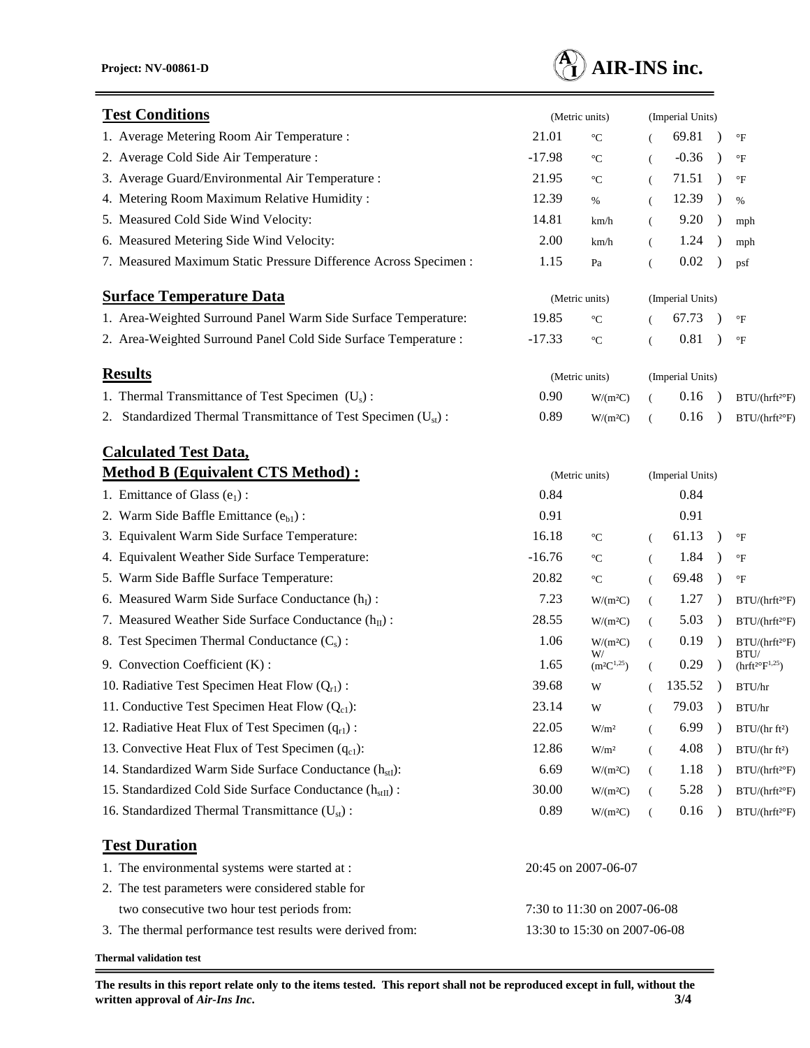

| <b>Test Conditions</b>                                               | (Metric units)               |                                   |          | (Imperial Units) |               |                                                  |  |
|----------------------------------------------------------------------|------------------------------|-----------------------------------|----------|------------------|---------------|--------------------------------------------------|--|
| 1. Average Metering Room Air Temperature :                           | 21.01                        | $^{\circ}C$                       |          | 69.81            |               | $\mathrm{^{\circ}F}$                             |  |
| 2. Average Cold Side Air Temperature :                               | $-17.98$                     | $^{\circ}C$                       | €        | $-0.36$          | $\rightarrow$ | $\mathrm{^{\circ}F}$                             |  |
| 3. Average Guard/Environmental Air Temperature :                     | 21.95                        | $^{\circ}C$                       | (        | 71.51            |               | $\mathrm{^{\circ}F}$                             |  |
| 4. Metering Room Maximum Relative Humidity:                          | 12.39                        | $\%$                              | €        | 12.39            | $\lambda$     | $\%$                                             |  |
| 5. Measured Cold Side Wind Velocity:                                 | 14.81                        | km/h                              | $\left($ | 9.20             | $\rightarrow$ | mph                                              |  |
| 6. Measured Metering Side Wind Velocity:                             | 2.00                         | km/h                              | $\left($ | 1.24             |               | mph                                              |  |
| 7. Measured Maximum Static Pressure Difference Across Specimen :     | 1.15                         | Pa                                | $\left($ | 0.02             |               | psf                                              |  |
| <b>Surface Temperature Data</b>                                      | (Metric units)               |                                   |          | (Imperial Units) |               |                                                  |  |
| 1. Area-Weighted Surround Panel Warm Side Surface Temperature:       | 19.85                        | $^{\circ}C$                       |          | 67.73            |               | $\mathrm{^{\circ}F}$                             |  |
| 2. Area-Weighted Surround Panel Cold Side Surface Temperature :      | $-17.33$                     | $^{\circ}{\rm C}$                 | (        | 0.81             |               | $\mathrm{^{\circ}F}$                             |  |
| <b>Results</b>                                                       | (Metric units)               |                                   |          | (Imperial Units) |               |                                                  |  |
| 1. Thermal Transmittance of Test Specimen $(U_s)$ :                  | 0.90                         | W/(m <sup>2</sup> C)              | €        | 0.16             |               | BTU/(hrft <sup>2o</sup> F)                       |  |
| 2. Standardized Thermal Transmittance of Test Specimen $(Ust)$ :     | 0.89                         | W/(m <sup>2</sup> C)              | $\left($ | 0.16             |               | $BTU/(hrft^{20}F)$                               |  |
| <b>Calculated Test Data,</b>                                         |                              |                                   |          |                  |               |                                                  |  |
| <b>Method B (Equivalent CTS Method):</b>                             |                              | (Metric units)                    |          | (Imperial Units) |               |                                                  |  |
| 1. Emittance of Glass $(e_1)$ :                                      | 0.84                         |                                   |          | 0.84             |               |                                                  |  |
| 2. Warm Side Baffle Emittance $(e_{b1})$ :                           | 0.91                         |                                   |          | 0.91             |               |                                                  |  |
| 3. Equivalent Warm Side Surface Temperature:                         | 16.18                        | $^{\circ}C$                       | $\left($ | 61.13            | $\lambda$     | $\mathrm{^{\circ}F}$                             |  |
| 4. Equivalent Weather Side Surface Temperature:                      | $-16.76$                     | $^{\circ}C$                       | €        | 1.84             |               | $\mathrm{^{\circ}F}$                             |  |
| 5. Warm Side Baffle Surface Temperature:                             | 20.82                        | $^{\circ}\mathrm{C}$              | $\left($ | 69.48            | $\lambda$     | $\rm ^{\circ}F$                                  |  |
| 6. Measured Warm Side Surface Conductance $(h_I)$ :                  | 7.23                         | W/(m <sup>2</sup> C)              | $\left($ | 1.27             | $\rightarrow$ | $BTU/(hrft^{2°}F)$                               |  |
| 7. Measured Weather Side Surface Conductance $(h_{II})$ :            | 28.55                        | W/(m <sup>2</sup> C)              | €        | 5.03             | $\rightarrow$ | BTU/(hrft <sup>2</sup> °F)                       |  |
| 8. Test Specimen Thermal Conductance $(C_s)$ :                       | 1.06                         | W/(m <sup>2</sup> C)<br>W/        | $\left($ | 0.19             | $\rightarrow$ | $\mathrm{BTU}/(\mathrm{hrft^{2\circ}F})$<br>BTU/ |  |
| 9. Convection Coefficient (K):                                       | 1.65                         | $(\mathrm{m}^2\mathrm{C}^{1,25})$ | $\left($ | 0.29             |               | $\text{(nrft2°F}^{1,25})$                        |  |
| 10. Radiative Test Specimen Heat Flow $(Q_{r1})$ :                   | 39.68                        | W                                 |          | 135.52           |               | BTU/hr                                           |  |
| 11. Conductive Test Specimen Heat Flow $(Q_{c1})$ :                  | 23.14                        | W                                 |          | 79.03            |               | BTU/hr                                           |  |
| 12. Radiative Heat Flux of Test Specimen $(q_{r1})$ :                | 22.05                        | W/m <sup>2</sup>                  | €        | 6.99             |               | BTU/(hrft <sup>2</sup> )                         |  |
| 13. Convective Heat Flux of Test Specimen $(q_{c1})$ :               | 12.86                        | W/m <sup>2</sup>                  | (        | 4.08             | $\rightarrow$ | BTU/(hrft <sup>2</sup> )                         |  |
| 14. Standardized Warm Side Surface Conductance $(h_{st})$ :          | 6.69                         | W/(m <sup>2</sup> C)              | $\left($ | $1.18\,$         | $\rightarrow$ | BTU/(hrft <sup>2</sup> )F)                       |  |
| 15. Standardized Cold Side Surface Conductance (h <sub>stII</sub> ): | 30.00                        | W/(m <sup>2</sup> C)              |          | 5.28             |               | BTU/(hrft <sup>2o</sup> F)                       |  |
| 16. Standardized Thermal Transmittance $(U_{st})$ :                  | 0.89                         | W/(m <sup>2</sup> C)              | (        | 0.16             |               | $BTU/(hrft^{2\circ}F)$                           |  |
| <b>Test Duration</b>                                                 |                              |                                   |          |                  |               |                                                  |  |
| 1. The environmental systems were started at :                       |                              | 20:45 on 2007-06-07               |          |                  |               |                                                  |  |
| 2. The test parameters were considered stable for                    |                              |                                   |          |                  |               |                                                  |  |
| two consecutive two hour test periods from:                          | 7:30 to 11:30 on 2007-06-08  |                                   |          |                  |               |                                                  |  |
| 3. The thermal performance test results were derived from:           | 13:30 to 15:30 on 2007-06-08 |                                   |          |                  |               |                                                  |  |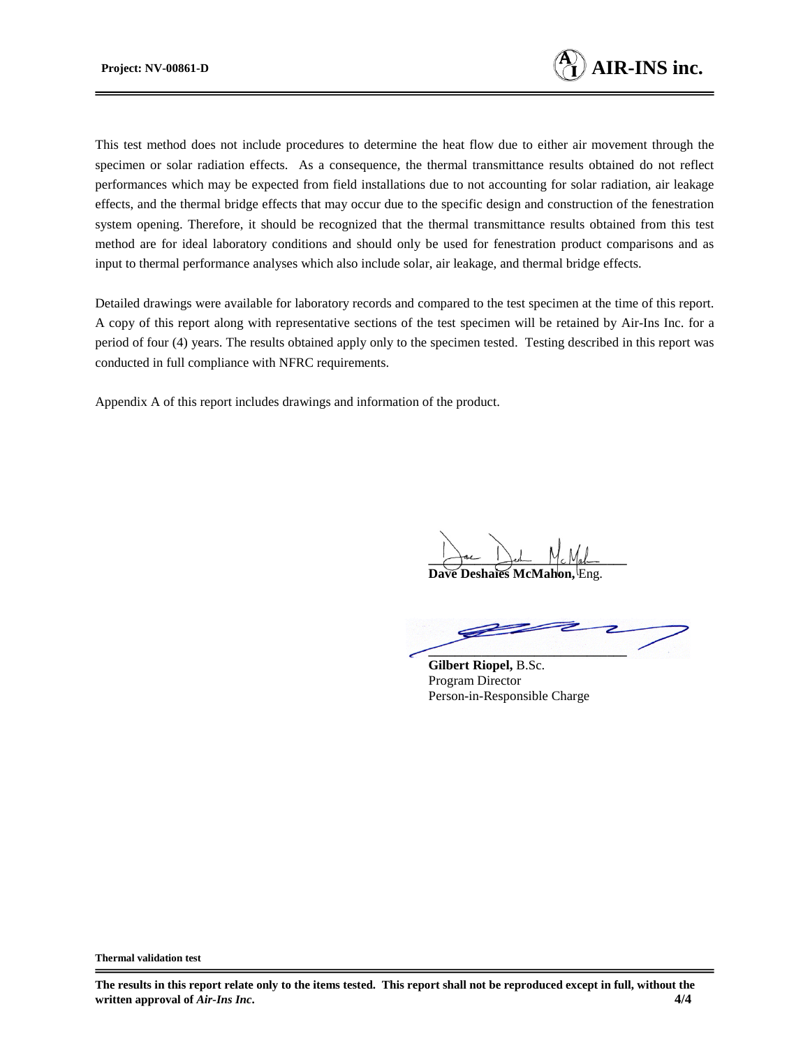

This test method does not include procedures to determine the heat flow due to either air movement through the specimen or solar radiation effects. As a consequence, the thermal transmittance results obtained do not reflect performances which may be expected from field installations due to not accounting for solar radiation, air leakage effects, and the thermal bridge effects that may occur due to the specific design and construction of the fenestration system opening. Therefore, it should be recognized that the thermal transmittance results obtained from this test method are for ideal laboratory conditions and should only be used for fenestration product comparisons and as input to thermal performance analyses which also include solar, air leakage, and thermal bridge effects.

Detailed drawings were available for laboratory records and compared to the test specimen at the time of this report. A copy of this report along with representative sections of the test specimen will be retained by Air-Ins Inc. for a period of four (4) years. The results obtained apply only to the specimen tested. Testing described in this report was conducted in full compliance with NFRC requirements.

Appendix A of this report includes drawings and information of the product.

Jac Jest Mc Mah

**Dave Deshaies McMahon** 

**\_\_\_\_\_\_\_\_\_\_\_\_\_\_\_\_\_\_\_\_\_\_\_\_\_\_\_\_\_\_**

**Gilbert Riopel,** B.Sc. Program Director Person-in-Responsible Charge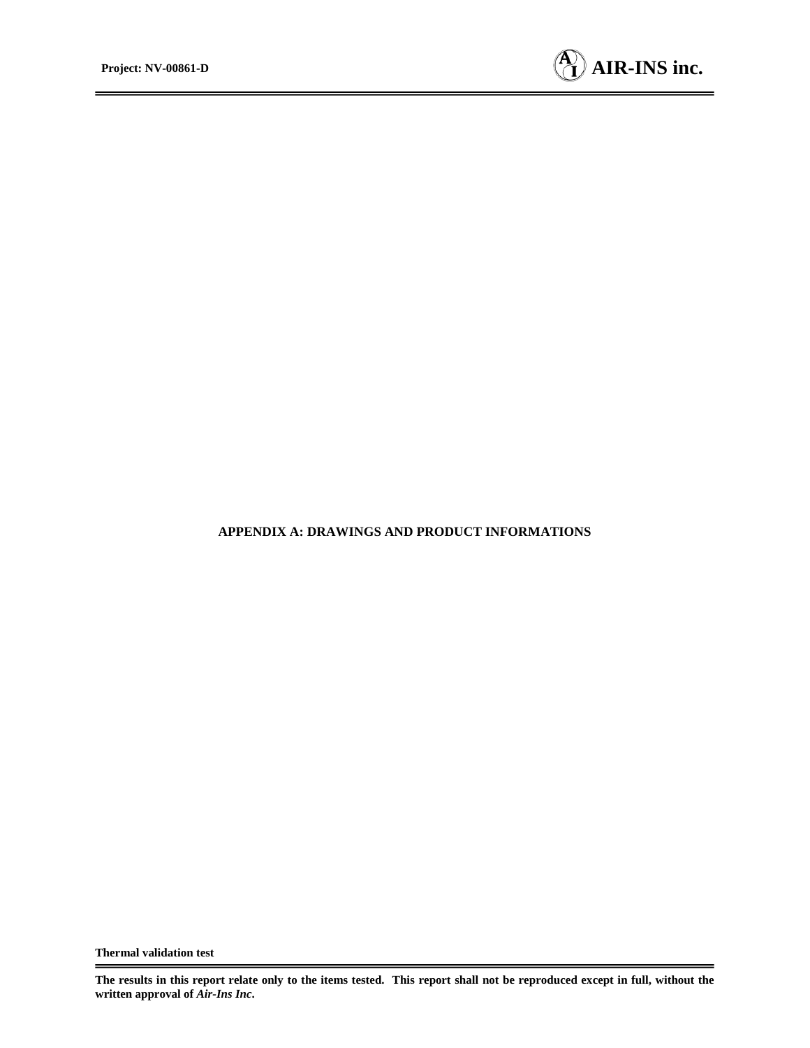

### **APPENDIX A: DRAWINGS AND PRODUCT INFORMATIONS**

**The results in this report relate only to the items tested. This report shall not be reproduced except in full, without the written approval of** *Air-Ins Inc***.**